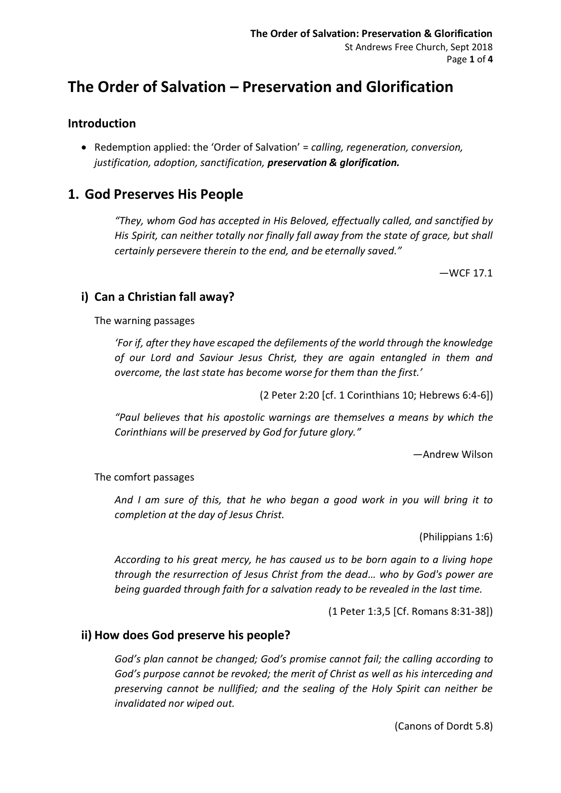# **The Order of Salvation – Preservation and Glorification**

## **Introduction**

• Redemption applied: the 'Order of Salvation' = *calling, regeneration, conversion, justification, adoption, sanctification, preservation & glorification.*

# **1. God Preserves His People**

*"They, whom God has accepted in His Beloved, effectually called, and sanctified by His Spirit, can neither totally nor finally fall away from the state of grace, but shall certainly persevere therein to the end, and be eternally saved."* 

—WCF 17.1

# **i) Can a Christian fall away?**

The warning passages

*'For if, after they have escaped the defilements of the world through the knowledge of our Lord and Saviour Jesus Christ, they are again entangled in them and overcome, the last state has become worse for them than the first.'*

(2 Peter 2:20 [cf. 1 Corinthians 10; Hebrews 6:4-6])

*"Paul believes that his apostolic warnings are themselves a means by which the Corinthians will be preserved by God for future glory."*

—Andrew Wilson

#### The comfort passages

*And I am sure of this, that he who began a good work in you will bring it to completion at the day of Jesus Christ.*

(Philippians 1:6)

*According to his great mercy, he has caused us to be born again to a living hope through the resurrection of Jesus Christ from the dead… who by God's power are being guarded through faith for a salvation ready to be revealed in the last time.*

(1 Peter 1:3,5 [Cf. Romans 8:31-38])

#### **ii) How does God preserve his people?**

*God's plan cannot be changed; God's promise cannot fail; the calling according to God's purpose cannot be revoked; the merit of Christ as well as his interceding and preserving cannot be nullified; and the sealing of the Holy Spirit can neither be invalidated nor wiped out.*

(Canons of Dordt 5.8)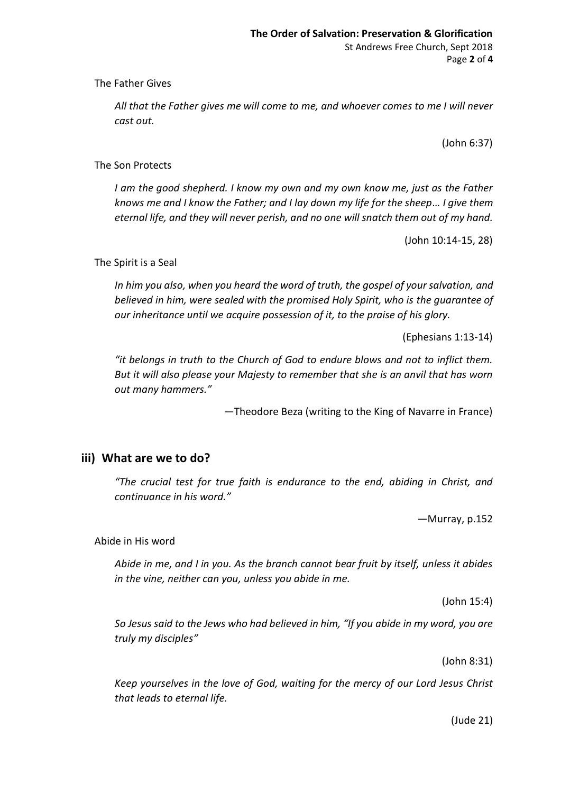The Father Gives

*All that the Father gives me will come to me, and whoever comes to me I will never cast out.*

(John 6:37)

#### The Son Protects

*I am the good shepherd. I know my own and my own know me, just as the Father knows me and I know the Father; and I lay down my life for the sheep… I give them eternal life, and they will never perish, and no one will snatch them out of my hand.*

(John 10:14-15, 28)

#### The Spirit is a Seal

*In him you also, when you heard the word of truth, the gospel of your salvation, and believed in him, were sealed with the promised Holy Spirit, who is the guarantee of our inheritance until we acquire possession of it, to the praise of his glory.*

(Ephesians 1:13-14)

*"it belongs in truth to the Church of God to endure blows and not to inflict them. But it will also please your Majesty to remember that she is an anvil that has worn out many hammers."*

—Theodore Beza (writing to the King of Navarre in France)

#### **iii) What are we to do?**

*"The crucial test for true faith is endurance to the end, abiding in Christ, and continuance in his word."* 

—Murray, p.152

#### Abide in His word

*Abide in me, and I in you. As the branch cannot bear fruit by itself, unless it abides in the vine, neither can you, unless you abide in me.*

(John 15:4)

*So Jesus said to the Jews who had believed in him, "If you abide in my word, you are truly my disciples"*

(John 8:31)

*Keep yourselves in the love of God, waiting for the mercy of our Lord Jesus Christ that leads to eternal life.*

(Jude 21)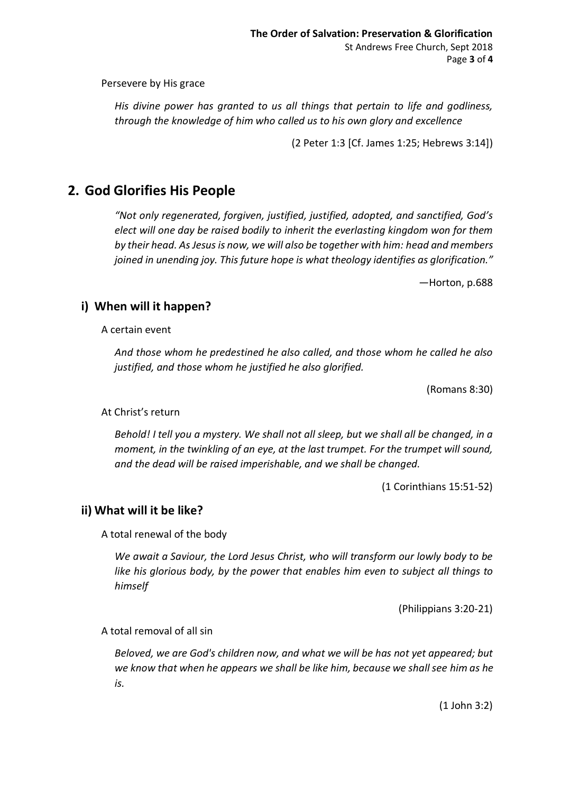Persevere by His grace

*His divine power has granted to us all things that pertain to life and godliness, through the knowledge of him who called us to his own glory and excellence*

(2 Peter 1:3 [Cf. James 1:25; Hebrews 3:14])

# **2. God Glorifies His People**

*"Not only regenerated, forgiven, justified, justified, adopted, and sanctified, God's elect will one day be raised bodily to inherit the everlasting kingdom won for them by their head. As Jesus is now, we will also be together with him: head and members joined in unending joy. This future hope is what theology identifies as glorification."*

—Horton, p.688

### **i) When will it happen?**

A certain event

*And those whom he predestined he also called, and those whom he called he also justified, and those whom he justified he also glorified.*

(Romans 8:30)

#### At Christ's return

*Behold! I tell you a mystery. We shall not all sleep, but we shall all be changed, in a moment, in the twinkling of an eye, at the last trumpet. For the trumpet will sound, and the dead will be raised imperishable, and we shall be changed.*

(1 Corinthians 15:51-52)

#### **ii) What will it be like?**

A total renewal of the body

*We await a Saviour, the Lord Jesus Christ, who will transform our lowly body to be like his glorious body, by the power that enables him even to subject all things to himself*

(Philippians 3:20-21)

A total removal of all sin

*Beloved, we are God's children now, and what we will be has not yet appeared; but we know that when he appears we shall be like him, because we shall see him as he is.*

(1 John 3:2)